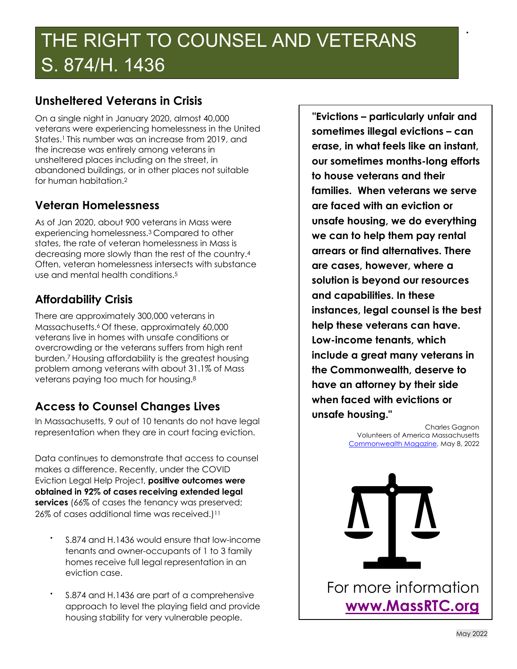# THE RIGHT TO COUNSEL AND VETERANS S. 874/H. 1436

### **Unsheltered Veterans in Crisis**

On a single night in January 2020, almost 40,000 veterans were experiencing homelessness in the United States.<sup>1</sup> This number was an increase from 2019, and the increase was entirely among veterans in unsheltered places including on the street, in abandoned buildings, or in other places not suitable for human habitation.2

#### **Veteran Homelessness**

As of Jan 2020, about 900 veterans in Mass were experiencing homelessness.3 Compared to other states, the rate of veteran homelessness in Mass is decreasing more slowly than the rest of the country.4 Often, veteran homelessness intersects with substance use and mental health conditions.5

### **Affordability Crisis**

There are approximately 300,000 veterans in Massachusetts.<sup>6</sup> Of these, approximately 60,000 veterans live in homes with unsafe conditions or overcrowding or the veterans suffers from high rent burden.7 Housing affordability is the greatest housing problem among veterans with about 31.1% of Mass veterans paying too much for housing.8

## **Access to Counsel Changes Lives**

In Massachusetts, 9 out of 10 tenants do not have legal representation when they are in court facing eviction.

Data continues to demonstrate that access to counsel makes a difference. Recently, under the COVID Eviction Legal Help Project, **positive outcomes were obtained in 92% of cases receiving extended legal services** (66% of cases the tenancy was preserved; 26% of cases additional time was received.)<sup>11</sup>

- § S.874 and H.1436 would ensure that low-income tenants and owner-occupants of 1 to 3 family homes receive full legal representation in an eviction case.
- § S.874 and H.1436 are part of a comprehensive approach to level the playing field and provide housing stability for very vulnerable people.

**"Evictions – particularly unfair and sometimes illegal evictions – can erase, in what feels like an instant, our sometimes months-long efforts to house veterans and their families. When veterans we serve are faced with an eviction or unsafe housing, we do everything we can to help them pay rental arrears or find alternatives. There are cases, however, where a solution is beyond our resources and capabilities. In these instances, legal counsel is the best help these veterans can have. Low-income tenants, which include a great many veterans in the Commonwealth, deserve to have an attorney by their side when faced with evictions or unsafe housing."** 

§